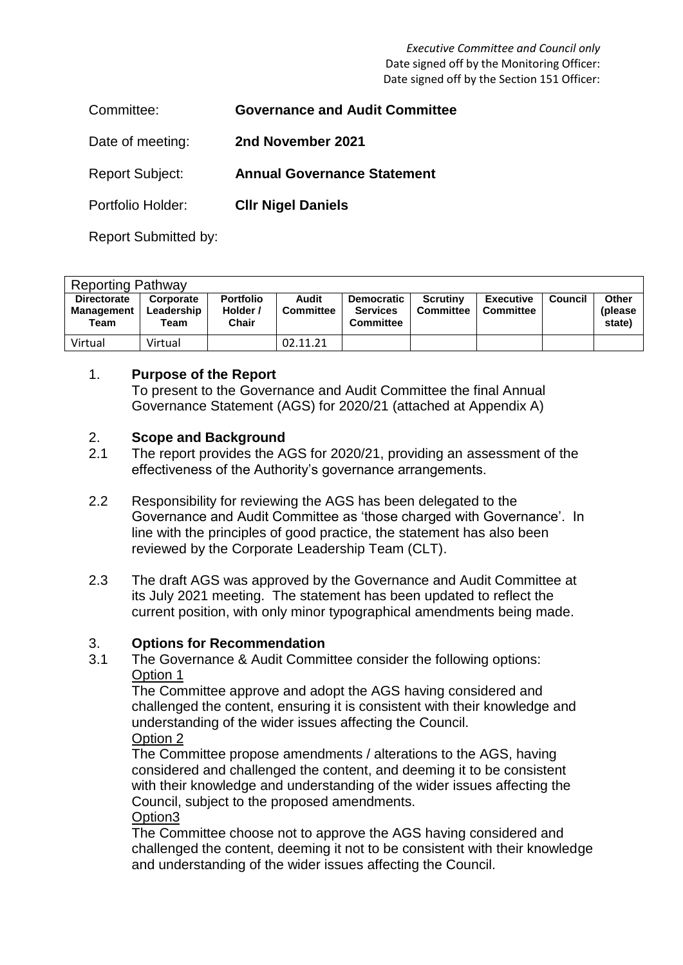*Executive Committee and Council only* Date signed off by the Monitoring Officer: Date signed off by the Section 151 Officer:

| Committee:             | <b>Governance and Audit Committee</b> |
|------------------------|---------------------------------------|
| Date of meeting:       | 2nd November 2021                     |
| <b>Report Subject:</b> | <b>Annual Governance Statement</b>    |
| Portfolio Holder:      | <b>CIIr Nigel Daniels</b>             |

Report Submitted by:

| <b>Reporting Pathway</b>                        |                                 |                                              |                           |                                                   |                                     |                               |                |                             |  |  |
|-------------------------------------------------|---------------------------------|----------------------------------------------|---------------------------|---------------------------------------------------|-------------------------------------|-------------------------------|----------------|-----------------------------|--|--|
| <b>Directorate</b><br><b>Management</b><br>Team | Corporate<br>Leadership<br>Team | <b>Portfolio</b><br>Holder /<br><b>Chair</b> | Audit<br><b>Committee</b> | <b>Democratic</b><br>Services<br><b>Committee</b> | <b>Scrutiny</b><br><b>Committee</b> | <b>Executive</b><br>Committee | <b>Council</b> | Other<br>(please)<br>state) |  |  |
| Virtual                                         | Virtual                         |                                              | 02.11.21                  |                                                   |                                     |                               |                |                             |  |  |

## 1. **Purpose of the Report**

To present to the Governance and Audit Committee the final Annual Governance Statement (AGS) for 2020/21 (attached at Appendix A)

## 2. **Scope and Background**

- 2.1 The report provides the AGS for 2020/21, providing an assessment of the effectiveness of the Authority's governance arrangements.
- 2.2 Responsibility for reviewing the AGS has been delegated to the Governance and Audit Committee as 'those charged with Governance'. In line with the principles of good practice, the statement has also been reviewed by the Corporate Leadership Team (CLT).
- 2.3 The draft AGS was approved by the Governance and Audit Committee at its July 2021 meeting. The statement has been updated to reflect the current position, with only minor typographical amendments being made.

## 3. **Options for Recommendation**

3.1 The Governance & Audit Committee consider the following options: Option 1

The Committee approve and adopt the AGS having considered and challenged the content, ensuring it is consistent with their knowledge and understanding of the wider issues affecting the Council. Option 2

The Committee propose amendments / alterations to the AGS, having considered and challenged the content, and deeming it to be consistent with their knowledge and understanding of the wider issues affecting the Council, subject to the proposed amendments.

#### Option3

The Committee choose not to approve the AGS having considered and challenged the content, deeming it not to be consistent with their knowledge and understanding of the wider issues affecting the Council.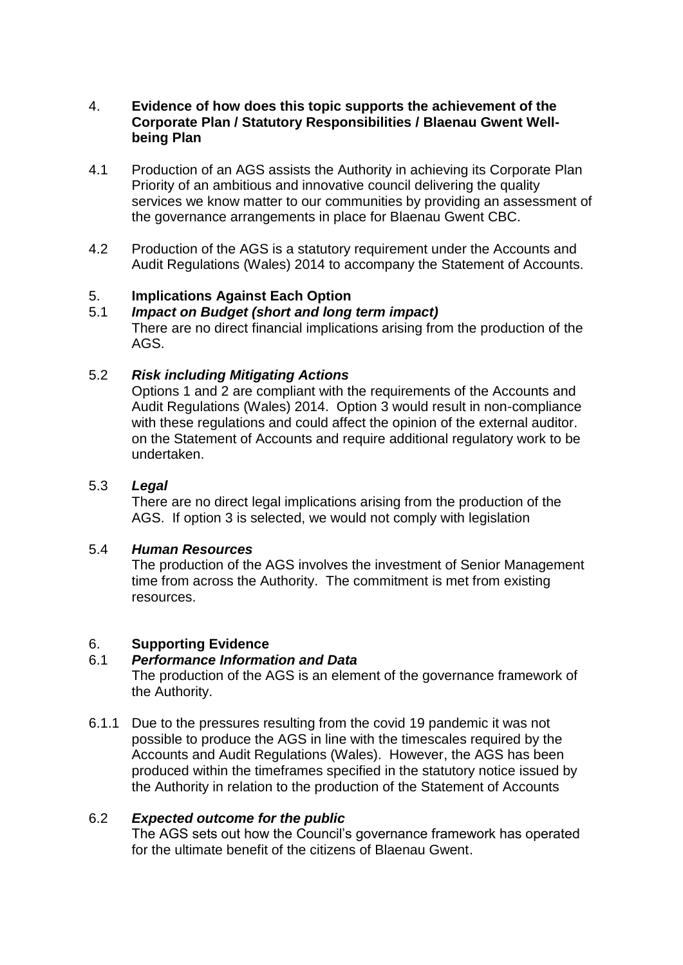#### 4. **Evidence of how does this topic supports the achievement of the Corporate Plan / Statutory Responsibilities / Blaenau Gwent Wellbeing Plan**

- 4.1 Production of an AGS assists the Authority in achieving its Corporate Plan Priority of an ambitious and innovative council delivering the quality services we know matter to our communities by providing an assessment of the governance arrangements in place for Blaenau Gwent CBC.
- 4.2 Production of the AGS is a statutory requirement under the Accounts and Audit Regulations (Wales) 2014 to accompany the Statement of Accounts.

# 5. **Implications Against Each Option**

# 5.1 *Impact on Budget (short and long term impact)*

There are no direct financial implications arising from the production of the AGS.

## 5.2 *Risk including Mitigating Actions*

Options 1 and 2 are compliant with the requirements of the Accounts and Audit Regulations (Wales) 2014. Option 3 would result in non-compliance with these regulations and could affect the opinion of the external auditor. on the Statement of Accounts and require additional regulatory work to be undertaken.

## 5.3 *Legal*

There are no direct legal implications arising from the production of the AGS. If option 3 is selected, we would not comply with legislation

#### 5.4 *Human Resources*

The production of the AGS involves the investment of Senior Management time from across the Authority. The commitment is met from existing resources.

## 6. **Supporting Evidence**

#### 6.1 *Performance Information and Data*

The production of the AGS is an element of the governance framework of the Authority.

6.1.1 Due to the pressures resulting from the covid 19 pandemic it was not possible to produce the AGS in line with the timescales required by the Accounts and Audit Regulations (Wales). However, the AGS has been produced within the timeframes specified in the statutory notice issued by the Authority in relation to the production of the Statement of Accounts

## 6.2 *Expected outcome for the public*

The AGS sets out how the Council's governance framework has operated for the ultimate benefit of the citizens of Blaenau Gwent.